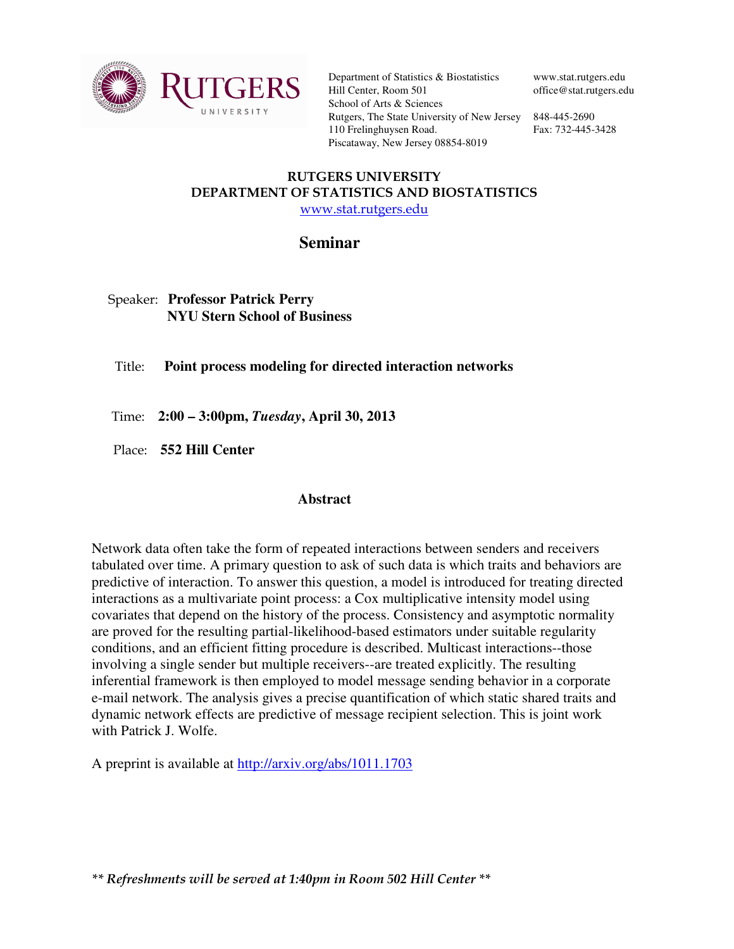

Department of Statistics & Biostatistics Hill Center, Room 501 School of Arts & Sciences Rutgers, The State University of New Jersey 848-445-2690 110 Frelinghuysen Road. Piscataway, New Jersey 08854-8019

www.stat.rutgers.edu office@stat.rutgers.edu

Fax: 732-445-3428

## RUTGERS UNIVERSITY DEPARTMENT OF STATISTICS AND BIOSTATISTICS www.stat.rutgers.edu

## **Seminar**

## Speaker: **Professor Patrick Perry NYU Stern School of Business**

Title: **Point process modeling for directed interaction networks** 

Time: **2:00 – 3:00pm,** *Tuesday***, April 30, 2013**

Place: **552 Hill Center** 

## **Abstract**

Network data often take the form of repeated interactions between senders and receivers tabulated over time. A primary question to ask of such data is which traits and behaviors are predictive of interaction. To answer this question, a model is introduced for treating directed interactions as a multivariate point process: a Cox multiplicative intensity model using covariates that depend on the history of the process. Consistency and asymptotic normality are proved for the resulting partial-likelihood-based estimators under suitable regularity conditions, and an efficient fitting procedure is described. Multicast interactions--those involving a single sender but multiple receivers--are treated explicitly. The resulting inferential framework is then employed to model message sending behavior in a corporate e-mail network. The analysis gives a precise quantification of which static shared traits and dynamic network effects are predictive of message recipient selection. This is joint work with Patrick J. Wolfe.

A preprint is available at http://arxiv.org/abs/1011.1703

\*\* Refreshments will be served at 1:40pm in Room 502 Hill Center \*\*